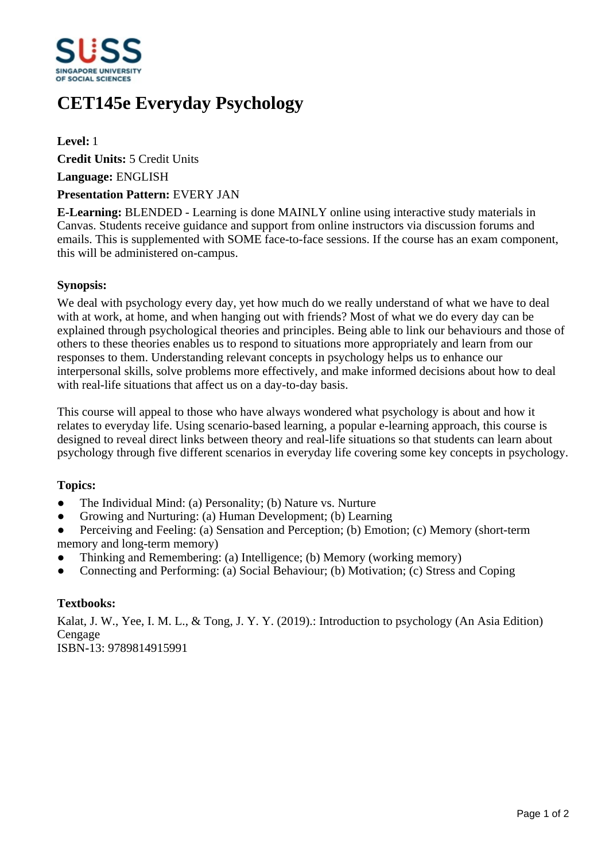

# **CET145e Everyday Psychology**

**Level:** 1

**Credit Units:** 5 Credit Units

**Language:** ENGLISH

#### **Presentation Pattern:** EVERY JAN

**E-Learning:** BLENDED - Learning is done MAINLY online using interactive study materials in Canvas. Students receive guidance and support from online instructors via discussion forums and emails. This is supplemented with SOME face-to-face sessions. If the course has an exam component, this will be administered on-campus.

#### **Synopsis:**

We deal with psychology every day, yet how much do we really understand of what we have to deal with at work, at home, and when hanging out with friends? Most of what we do every day can be explained through psychological theories and principles. Being able to link our behaviours and those of others to these theories enables us to respond to situations more appropriately and learn from our responses to them. Understanding relevant concepts in psychology helps us to enhance our interpersonal skills, solve problems more effectively, and make informed decisions about how to deal with real-life situations that affect us on a day-to-day basis.

This course will appeal to those who have always wondered what psychology is about and how it relates to everyday life. Using scenario-based learning, a popular e-learning approach, this course is designed to reveal direct links between theory and real-life situations so that students can learn about psychology through five different scenarios in everyday life covering some key concepts in psychology.

## **Topics:**

- The Individual Mind: (a) Personality; (b) Nature vs. Nurture
- Growing and Nurturing: (a) Human Development; (b) Learning
- Perceiving and Feeling: (a) Sensation and Perception; (b) Emotion; (c) Memory (short-term memory and long-term memory)
- ƔThinking and Remembering: (a) Intelligence; (b) Memory (working memory)
- ƔConnecting and Performing: (a) Social Behaviour; (b) Motivation; (c) Stress and Coping

## **Textbooks:**

Kalat, J. W., Yee, I. M. L., & Tong, J. Y. Y. (2019).: Introduction to psychology (An Asia Edition) Cengage ISBN-13: 9789814915991